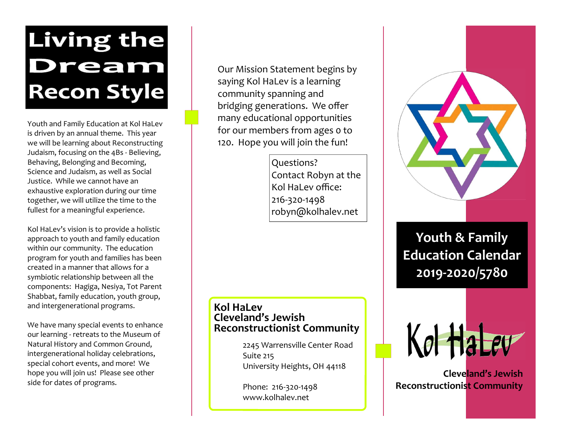## Living the Dream **Recon Style**

Youth and Family Education at Kol HaLev is driven by an annual theme. This year we will be learning about Reconstructing Judaism, focusing on the 4Bs - Believing, Behaving, Belonging and Becoming, Science and Judaism, as well as Social Justice. While we cannot have an exhaustive exploration during our time together, we will utilize the time to the fullest for a meaningful experience.

Kol HaLev's vision is to provide a holistic approach to youth and family education within our community. The education program for youth and families has been created in a manner that allows for a symbiotic relationship between all the components: Hagiga, Nesiya, Tot Parent Shabbat, family education, youth group, and intergenerational programs.

We have many special events to enhance our learning - retreats to the Museum of Natural History and Common Ground, intergenerational holiday celebrations, special cohort events, and more! We hope you will join us! Please see other side for dates of programs.

Our Mission Statement begins by saying Kol HaLev is a learning community spanning and bridging generations. We offer many educational opportunities for our members from ages 0 to 120. Hope you will join the fun!

> Questions? Contact Robyn at the Kol HaLev office: 216-320-1498 robyn@kolhalev.net

## **Kol HaLev Cleveland's Jewish Reconstructionist Community**

2245 Warrensville Center Road Suite 215 University Heights, OH 44118

Phone: 216-320-1498 www.kolhalev.net



**Youth & Family Education Calendar 2019-2020/5780**



**Cleveland's Jewish Reconstructionist Community**